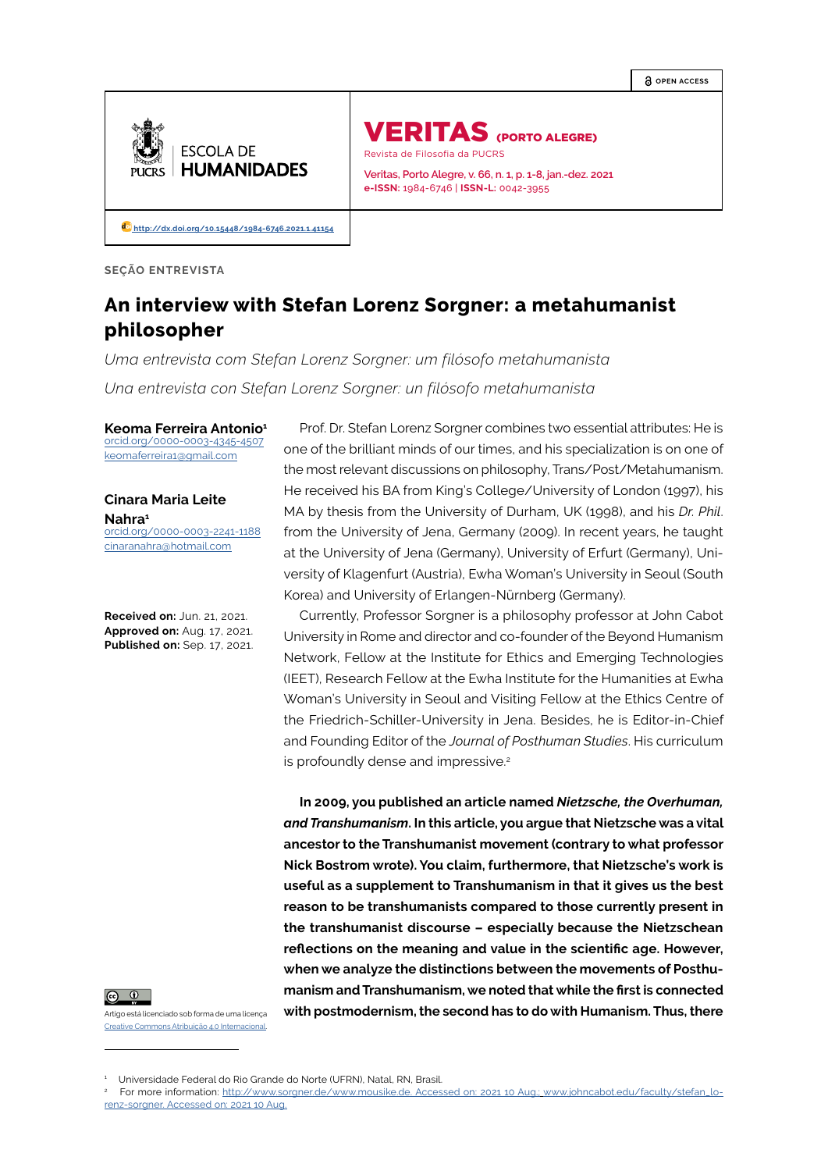**OPEN ACCESS**



VERITAS (PORTO ALEGRE) Revista de Filosofia da PUCRS

**Veritas, Porto Alegre, v. 66, n. 1, p. 1-8, jan.-dez. 2021 e-ISSN:** 1984-6746 | **ISSN-L:** 0042-3955

 **[http://dx.doi.org/10.15448/1984-6746.2021.1.4](http://dx.doi.org/10.15448/1984-6746.2021.1.41154)1154**

**SEÇÃO ENTREVISTA**

# **An interview with Stefan Lorenz Sorgner: a metahumanist philosopher**

*Uma entrevista com Stefan Lorenz Sorgner: um filósofo metahumanista Una entrevista con Stefan Lorenz Sorgner: un filósofo metahumanista*

**Keoma Ferreira Antonio<sup>1</sup>** [orcid.org/0000-0003-4345-4507](https://orcid.org/0000-0003-4345-4507) [keomaferreira1@gmail.com](mailto:keomaferreira1@gmail.com)

**Cinara Maria Leite Nahra<sup>1</sup>** [orcid.org/0000-0003-2241-1188](https://orcid.org/0000-0003-2241-1188) [cinaranahra@hotmail.com](mailto:cinaranahra@hotmail.com)

**Received on:** Jun. 21, 2021. **Approved on:** Aug. 17, 2021. **Published on:** Sep. 17, 2021.



Artigo está licenciado sob forma de uma licença Creative Commons Atribuição 4.0 Internacional.

Prof. Dr. Stefan Lorenz Sorgner combines two essential attributes: He is one of the brilliant minds of our times, and his specialization is on one of the most relevant discussions on philosophy, Trans/Post/Metahumanism. He received his BA from King's College/University of London (1997), his MA by thesis from the University of Durham, UK (1998), and his *Dr. Phil*. from the University of Jena, Germany (2009). In recent years, he taught at the University of Jena (Germany), University of Erfurt (Germany), University of Klagenfurt (Austria), Ewha Woman's University in Seoul (South Korea) and University of Erlangen-Nürnberg (Germany).

Currently, Professor Sorgner is a philosophy professor at John Cabot University in Rome and director and co-founder of the Beyond Humanism Network, Fellow at the Institute for Ethics and Emerging Technologies (IEET), Research Fellow at the Ewha Institute for the Humanities at Ewha Woman's University in Seoul and Visiting Fellow at the Ethics Centre of the Friedrich-Schiller-University in Jena. Besides, he is Editor-in-Chief and Founding Editor of the *Journal of Posthuman Studies*. His curriculum is profoundly dense and impressive.<sup>2</sup>

**In 2009, you published an article named** *Nietzsche, the Overhuman, and Transhumanism***. In this article, you argue that Nietzsche was a vital ancestor to the Transhumanist movement (contrary to what professor Nick Bostrom wrote). You claim, furthermore, that Nietzsche's work is useful as a supplement to Transhumanism in that it gives us the best reason to be transhumanists compared to those currently present in the transhumanist discourse – especially because the Nietzschean reflections on the meaning and value in the scientific age. However, when we analyze the distinctions between the movements of Posthumanism and Transhumanism, we noted that while the first is connected with postmodernism, the second has to do with Humanism. Thus, there** 

<sup>1</sup> Universidade Federal do Rio Grande do Norte (UFRN), Natal, RN, Brasil.

<sup>&</sup>lt;sup>2</sup> For more information: <http://www.sorgner.de/www.mousike.de>. Accessed on: 2021 10 Aug.; [www.johncabot.edu/faculty/stefan\\_lo](http://www.johncabot.edu/faculty/stefan_lorenz-sorgner)[renz-sorgner](http://www.johncabot.edu/faculty/stefan_lorenz-sorgner). Accessed on: 2021 10 Aug.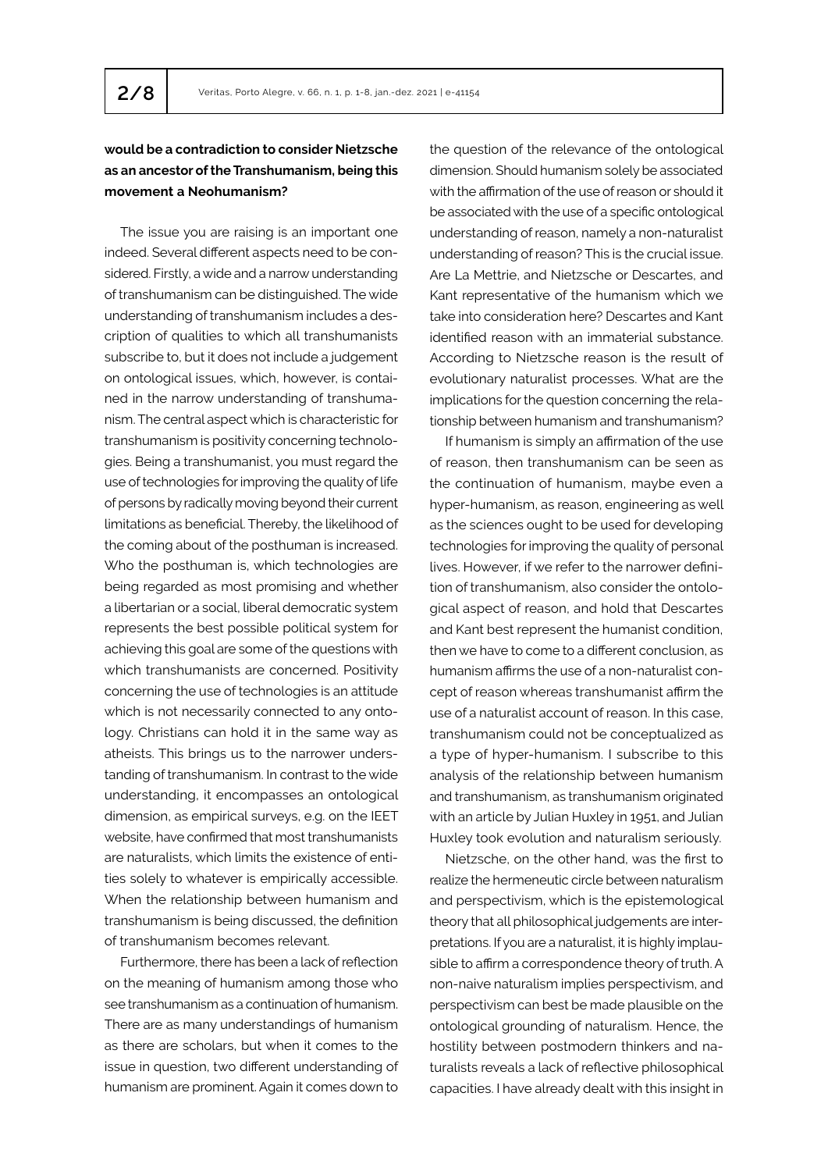# **would be a contradiction to consider Nietzsche as an ancestor of the Transhumanism, being this movement a Neohumanism?**

The issue you are raising is an important one indeed. Several different aspects need to be considered. Firstly, a wide and a narrow understanding of transhumanism can be distinguished. The wide understanding of transhumanism includes a description of qualities to which all transhumanists subscribe to, but it does not include a judgement on ontological issues, which, however, is contained in the narrow understanding of transhumanism. The central aspect which is characteristic for transhumanism is positivity concerning technologies. Being a transhumanist, you must regard the use of technologies for improving the quality of life of persons by radically moving beyond their current limitations as beneficial. Thereby, the likelihood of the coming about of the posthuman is increased. Who the posthuman is, which technologies are being regarded as most promising and whether a libertarian or a social, liberal democratic system represents the best possible political system for achieving this goal are some of the questions with which transhumanists are concerned. Positivity concerning the use of technologies is an attitude which is not necessarily connected to any ontology. Christians can hold it in the same way as atheists. This brings us to the narrower understanding of transhumanism. In contrast to the wide understanding, it encompasses an ontological dimension, as empirical surveys, e.g. on the IEET website, have confirmed that most transhumanists are naturalists, which limits the existence of entities solely to whatever is empirically accessible. When the relationship between humanism and transhumanism is being discussed, the definition of transhumanism becomes relevant.

Furthermore, there has been a lack of reflection on the meaning of humanism among those who see transhumanism as a continuation of humanism. There are as many understandings of humanism as there are scholars, but when it comes to the issue in question, two different understanding of humanism are prominent. Again it comes down to the question of the relevance of the ontological dimension. Should humanism solely be associated with the affirmation of the use of reason or should it be associated with the use of a specific ontological understanding of reason, namely a non-naturalist understanding of reason? This is the crucial issue. Are La Mettrie, and Nietzsche or Descartes, and Kant representative of the humanism which we take into consideration here? Descartes and Kant identified reason with an immaterial substance. According to Nietzsche reason is the result of evolutionary naturalist processes. What are the implications for the question concerning the relationship between humanism and transhumanism?

If humanism is simply an affirmation of the use of reason, then transhumanism can be seen as the continuation of humanism, maybe even a hyper-humanism, as reason, engineering as well as the sciences ought to be used for developing technologies for improving the quality of personal lives. However, if we refer to the narrower definition of transhumanism, also consider the ontological aspect of reason, and hold that Descartes and Kant best represent the humanist condition, then we have to come to a different conclusion, as humanism affirms the use of a non-naturalist concept of reason whereas transhumanist affirm the use of a naturalist account of reason. In this case, transhumanism could not be conceptualized as a type of hyper-humanism. I subscribe to this analysis of the relationship between humanism and transhumanism, as transhumanism originated with an article by Julian Huxley in 1951, and Julian Huxley took evolution and naturalism seriously.

Nietzsche, on the other hand, was the first to realize the hermeneutic circle between naturalism and perspectivism, which is the epistemological theory that all philosophical judgements are interpretations. If you are a naturalist, it is highly implausible to affirm a correspondence theory of truth. A non-naive naturalism implies perspectivism, and perspectivism can best be made plausible on the ontological grounding of naturalism. Hence, the hostility between postmodern thinkers and naturalists reveals a lack of reflective philosophical capacities. I have already dealt with this insight in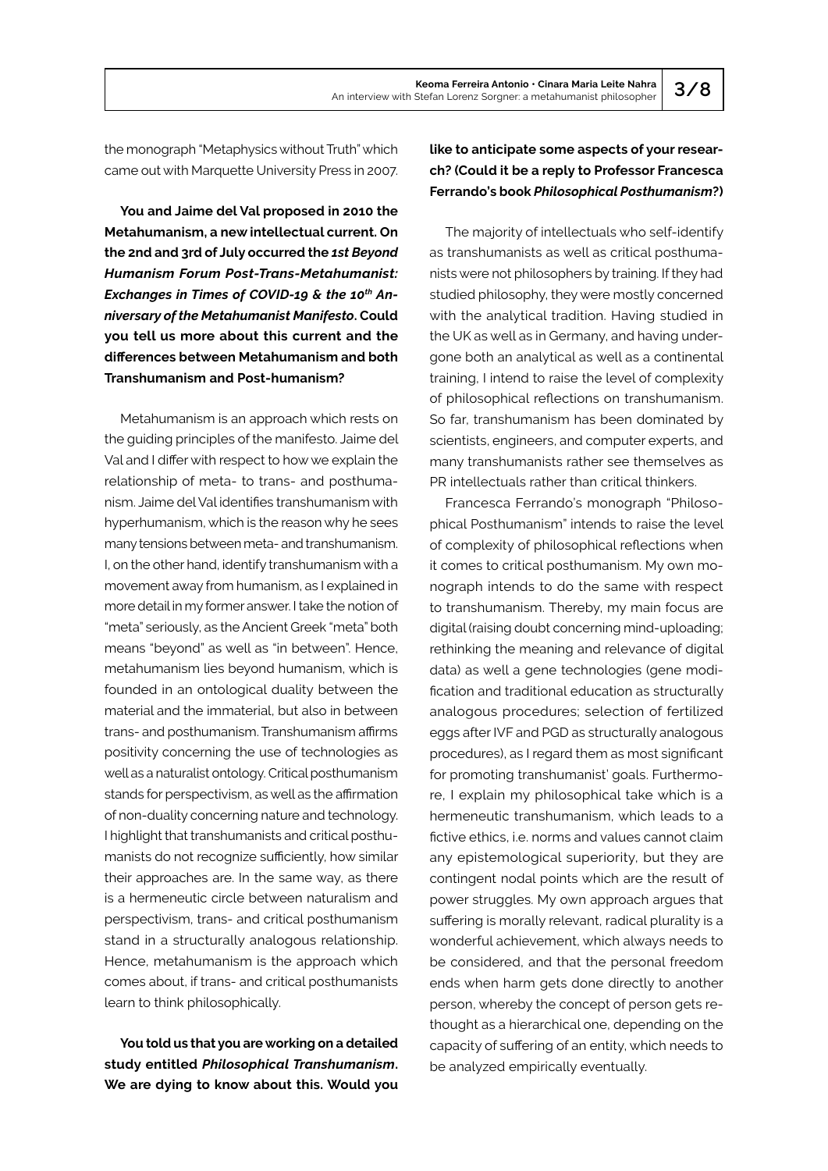the monograph "Metaphysics without Truth" which came out with Marquette University Press in 2007.

**You and Jaime del Val proposed in 2010 the Metahumanism, a new intellectual current. On the 2nd and 3rd of July occurred the** *1st Beyond Humanism Forum Post-Trans-Metahumanist:*  Exchanges in Times of COVID-19 & the 10<sup>th</sup> An*niversary of the Metahumanist Manifesto***. Could you tell us more about this current and the differences between Metahumanism and both Transhumanism and Post-humanism?**

Metahumanism is an approach which rests on the guiding principles of the manifesto. Jaime del Val and I differ with respect to how we explain the relationship of meta- to trans- and posthumanism. Jaime del Val identifies transhumanism with hyperhumanism, which is the reason why he sees many tensions between meta- and transhumanism. I, on the other hand, identify transhumanism with a movement away from humanism, as I explained in more detail in my former answer. I take the notion of "meta" seriously, as the Ancient Greek "meta" both means "beyond" as well as "in between". Hence, metahumanism lies beyond humanism, which is founded in an ontological duality between the material and the immaterial, but also in between trans- and posthumanism. Transhumanism affirms positivity concerning the use of technologies as well as a naturalist ontology. Critical posthumanism stands for perspectivism, as well as the affirmation of non-duality concerning nature and technology. I highlight that transhumanists and critical posthumanists do not recognize sufficiently, how similar their approaches are. In the same way, as there is a hermeneutic circle between naturalism and perspectivism, trans- and critical posthumanism stand in a structurally analogous relationship. Hence, metahumanism is the approach which comes about, if trans- and critical posthumanists learn to think philosophically.

**You told us that you are working on a detailed study entitled** *Philosophical Transhumanism***. We are dying to know about this. Would you**  **like to anticipate some aspects of your research? (Could it be a reply to Professor Francesca Ferrando's book** *Philosophical Posthumanism***?)**

The majority of intellectuals who self-identify as transhumanists as well as critical posthumanists were not philosophers by training. If they had studied philosophy, they were mostly concerned with the analytical tradition. Having studied in the UK as well as in Germany, and having undergone both an analytical as well as a continental training, I intend to raise the level of complexity of philosophical reflections on transhumanism. So far, transhumanism has been dominated by scientists, engineers, and computer experts, and many transhumanists rather see themselves as PR intellectuals rather than critical thinkers.

Francesca Ferrando's monograph "Philosophical Posthumanism" intends to raise the level of complexity of philosophical reflections when it comes to critical posthumanism. My own monograph intends to do the same with respect to transhumanism. Thereby, my main focus are digital (raising doubt concerning mind-uploading; rethinking the meaning and relevance of digital data) as well a gene technologies (gene modification and traditional education as structurally analogous procedures; selection of fertilized eggs after IVF and PGD as structurally analogous procedures), as I regard them as most significant for promoting transhumanist' goals. Furthermore, I explain my philosophical take which is a hermeneutic transhumanism, which leads to a fictive ethics, i.e. norms and values cannot claim any epistemological superiority, but they are contingent nodal points which are the result of power struggles. My own approach argues that suffering is morally relevant, radical plurality is a wonderful achievement, which always needs to be considered, and that the personal freedom ends when harm gets done directly to another person, whereby the concept of person gets rethought as a hierarchical one, depending on the capacity of suffering of an entity, which needs to be analyzed empirically eventually.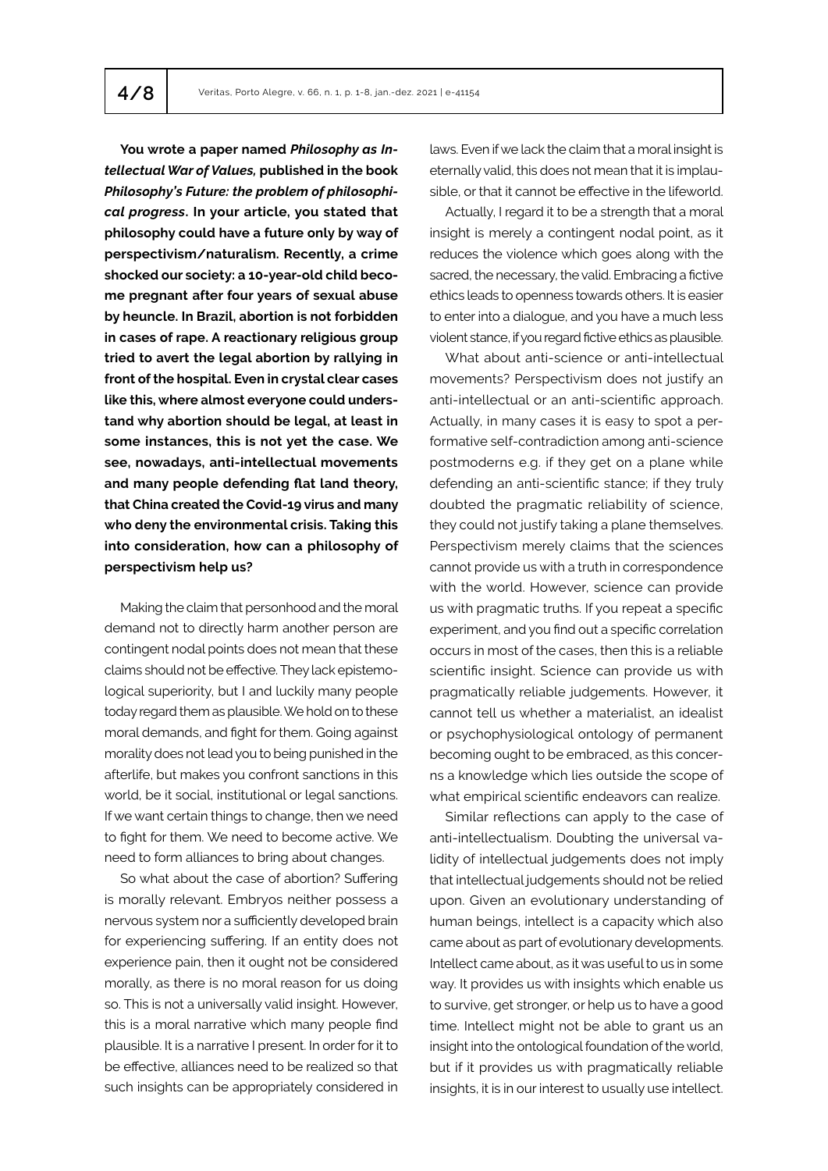**You wrote a paper named** *Philosophy as Intellectual War of Values,* **published in the book**  *Philosophy's Future: the problem of philosophical progress***. In your article, you stated that philosophy could have a future only by way of perspectivism/naturalism. Recently, a crime shocked our society: a 10-year-old child become pregnant after four years of sexual abuse by heuncle. In Brazil, abortion is not forbidden in cases of rape. A reactionary religious group tried to avert the legal abortion by rallying in front of the hospital. Even in crystal clear cases like this, where almost everyone could understand why abortion should be legal, at least in some instances, this is not yet the case. We see, nowadays, anti-intellectual movements and many people defending flat land theory, that China created the Covid-19 virus and many who deny the environmental crisis. Taking this into consideration, how can a philosophy of perspectivism help us?** 

Making the claim that personhood and the moral demand not to directly harm another person are contingent nodal points does not mean that these claims should not be effective. They lack epistemological superiority, but I and luckily many people today regard them as plausible. We hold on to these moral demands, and fight for them. Going against morality does not lead you to being punished in the afterlife, but makes you confront sanctions in this world, be it social, institutional or legal sanctions. If we want certain things to change, then we need to fight for them. We need to become active. We need to form alliances to bring about changes.

So what about the case of abortion? Suffering is morally relevant. Embryos neither possess a nervous system nor a sufficiently developed brain for experiencing suffering. If an entity does not experience pain, then it ought not be considered morally, as there is no moral reason for us doing so. This is not a universally valid insight. However, this is a moral narrative which many people find plausible. It is a narrative I present. In order for it to be effective, alliances need to be realized so that such insights can be appropriately considered in

laws. Even if we lack the claim that a moral insight is eternally valid, this does not mean that it is implausible, or that it cannot be effective in the lifeworld.

Actually, I regard it to be a strength that a moral insight is merely a contingent nodal point, as it reduces the violence which goes along with the sacred, the necessary, the valid. Embracing a fictive ethics leads to openness towards others. It is easier to enter into a dialogue, and you have a much less violent stance, if you regard fictive ethics as plausible.

What about anti-science or anti-intellectual movements? Perspectivism does not justify an anti-intellectual or an anti-scientific approach. Actually, in many cases it is easy to spot a performative self-contradiction among anti-science postmoderns e.g. if they get on a plane while defending an anti-scientific stance; if they truly doubted the pragmatic reliability of science, they could not justify taking a plane themselves. Perspectivism merely claims that the sciences cannot provide us with a truth in correspondence with the world. However, science can provide us with pragmatic truths. If you repeat a specific experiment, and you find out a specific correlation occurs in most of the cases, then this is a reliable scientific insight. Science can provide us with pragmatically reliable judgements. However, it cannot tell us whether a materialist, an idealist or psychophysiological ontology of permanent becoming ought to be embraced, as this concerns a knowledge which lies outside the scope of what empirical scientific endeavors can realize.

Similar reflections can apply to the case of anti-intellectualism. Doubting the universal validity of intellectual judgements does not imply that intellectual judgements should not be relied upon. Given an evolutionary understanding of human beings, intellect is a capacity which also came about as part of evolutionary developments. Intellect came about, as it was useful to us in some way. It provides us with insights which enable us to survive, get stronger, or help us to have a good time. Intellect might not be able to grant us an insight into the ontological foundation of the world, but if it provides us with pragmatically reliable insights, it is in our interest to usually use intellect.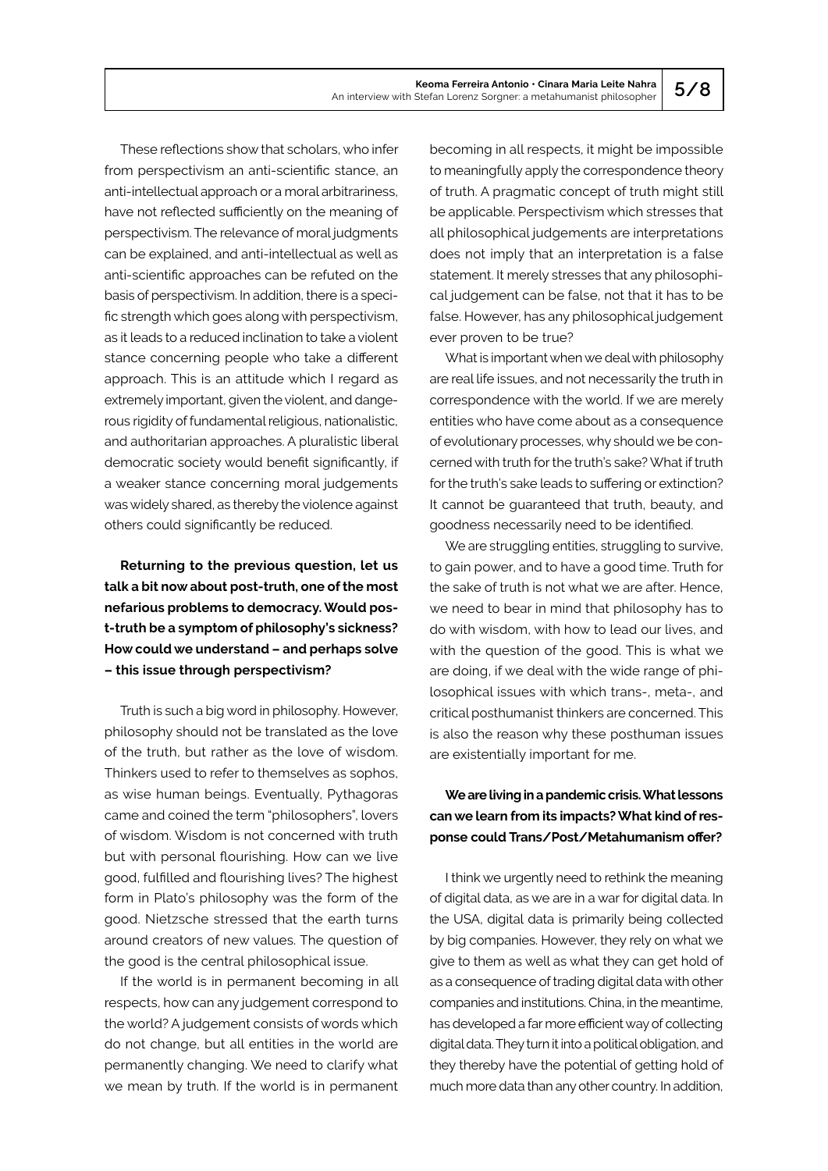These reflections show that scholars, who infer from perspectivism an anti-scientific stance, an anti-intellectual approach or a moral arbitrariness, have not reflected sufficiently on the meaning of perspectivism. The relevance of moral judgments can be explained, and anti-intellectual as well as anti-scientific approaches can be refuted on the basis of perspectivism. In addition, there is a specific strength which goes along with perspectivism, as it leads to a reduced inclination to take a violent stance concerning people who take a different approach. This is an attitude which I regard as extremely important, given the violent, and dangerous rigidity of fundamental religious, nationalistic, and authoritarian approaches. A pluralistic liberal democratic society would benefit significantly, if a weaker stance concerning moral judgements was widely shared, as thereby the violence against others could significantly be reduced.

**Returning to the previous question, let us talk a bit now about post-truth, one of the most nefarious problems to democracy. Would post-truth be a symptom of philosophy's sickness? How could we understand – and perhaps solve – this issue through perspectivism?**

Truth is such a big word in philosophy. However, philosophy should not be translated as the love of the truth, but rather as the love of wisdom. Thinkers used to refer to themselves as sophos, as wise human beings. Eventually, Pythagoras came and coined the term "philosophers", lovers of wisdom. Wisdom is not concerned with truth but with personal flourishing. How can we live good, fulfilled and flourishing lives? The highest form in Plato's philosophy was the form of the good. Nietzsche stressed that the earth turns around creators of new values. The question of the good is the central philosophical issue.

If the world is in permanent becoming in all respects, how can any judgement correspond to the world? A judgement consists of words which do not change, but all entities in the world are permanently changing. We need to clarify what we mean by truth. If the world is in permanent

becoming in all respects, it might be impossible to meaningfully apply the correspondence theory of truth. A pragmatic concept of truth might still be applicable. Perspectivism which stresses that all philosophical judgements are interpretations does not imply that an interpretation is a false statement. It merely stresses that any philosophical judgement can be false, not that it has to be false. However, has any philosophical judgement ever proven to be true?

What is important when we deal with philosophy are real life issues, and not necessarily the truth in correspondence with the world. If we are merely entities who have come about as a consequence of evolutionary processes, why should we be concerned with truth for the truth's sake? What if truth for the truth's sake leads to suffering or extinction? It cannot be guaranteed that truth, beauty, and goodness necessarily need to be identified.

We are struggling entities, struggling to survive, to gain power, and to have a good time. Truth for the sake of truth is not what we are after. Hence, we need to bear in mind that philosophy has to do with wisdom, with how to lead our lives, and with the question of the good. This is what we are doing, if we deal with the wide range of philosophical issues with which trans-, meta-, and critical posthumanist thinkers are concerned. This is also the reason why these posthuman issues are existentially important for me.

## **We are living in a pandemic crisis. What lessons can we learn from its impacts? What kind of response could Trans/Post/Metahumanism offer?**

I think we urgently need to rethink the meaning of digital data, as we are in a war for digital data. In the USA, digital data is primarily being collected by big companies. However, they rely on what we give to them as well as what they can get hold of as a consequence of trading digital data with other companies and institutions. China, in the meantime, has developed a far more efficient way of collecting digital data. They turn it into a political obligation, and they thereby have the potential of getting hold of much more data than any other country. In addition,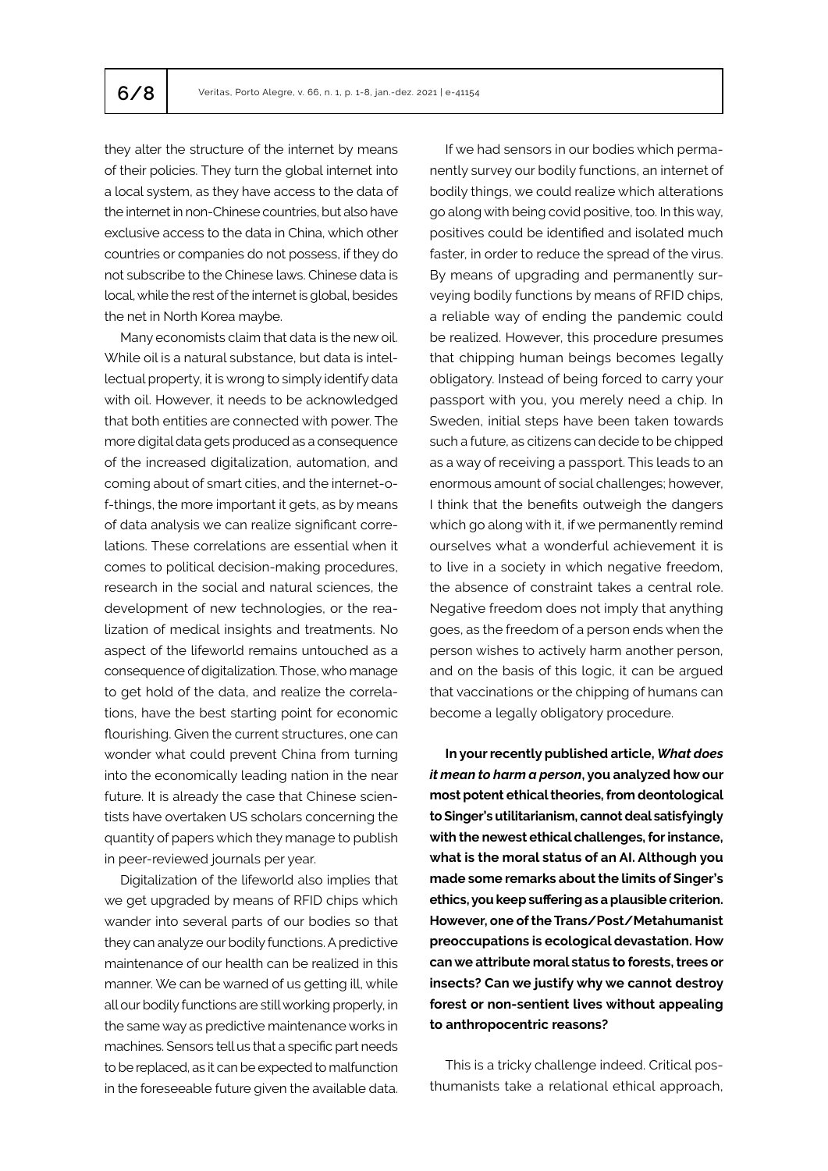they alter the structure of the internet by means of their policies. They turn the global internet into a local system, as they have access to the data of the internet in non-Chinese countries, but also have exclusive access to the data in China, which other countries or companies do not possess, if they do not subscribe to the Chinese laws. Chinese data is local, while the rest of the internet is global, besides the net in North Korea maybe.

Many economists claim that data is the new oil. While oil is a natural substance, but data is intellectual property, it is wrong to simply identify data with oil. However, it needs to be acknowledged that both entities are connected with power. The more digital data gets produced as a consequence of the increased digitalization, automation, and coming about of smart cities, and the internet-of-things, the more important it gets, as by means of data analysis we can realize significant correlations. These correlations are essential when it comes to political decision-making procedures, research in the social and natural sciences, the development of new technologies, or the realization of medical insights and treatments. No aspect of the lifeworld remains untouched as a consequence of digitalization. Those, who manage to get hold of the data, and realize the correlations, have the best starting point for economic flourishing. Given the current structures, one can wonder what could prevent China from turning into the economically leading nation in the near future. It is already the case that Chinese scientists have overtaken US scholars concerning the quantity of papers which they manage to publish in peer-reviewed journals per year.

Digitalization of the lifeworld also implies that we get upgraded by means of RFID chips which wander into several parts of our bodies so that they can analyze our bodily functions. A predictive maintenance of our health can be realized in this manner. We can be warned of us getting ill, while all our bodily functions are still working properly, in the same way as predictive maintenance works in machines. Sensors tell us that a specific part needs to be replaced, as it can be expected to malfunction in the foreseeable future given the available data.

If we had sensors in our bodies which permanently survey our bodily functions, an internet of bodily things, we could realize which alterations go along with being covid positive, too. In this way, positives could be identified and isolated much faster, in order to reduce the spread of the virus. By means of upgrading and permanently surveying bodily functions by means of RFID chips, a reliable way of ending the pandemic could be realized. However, this procedure presumes that chipping human beings becomes legally obligatory. Instead of being forced to carry your passport with you, you merely need a chip. In Sweden, initial steps have been taken towards such a future, as citizens can decide to be chipped as a way of receiving a passport. This leads to an enormous amount of social challenges; however, I think that the benefits outweigh the dangers which go along with it, if we permanently remind ourselves what a wonderful achievement it is to live in a society in which negative freedom, the absence of constraint takes a central role. Negative freedom does not imply that anything goes, as the freedom of a person ends when the person wishes to actively harm another person, and on the basis of this logic, it can be argued that vaccinations or the chipping of humans can become a legally obligatory procedure.

**In your recently published article,** *What does it mean to harm a person***, you analyzed how our most potent ethical theories, from deontological to Singer's utilitarianism, cannot deal satisfyingly with the newest ethical challenges, for instance, what is the moral status of an AI. Although you made some remarks about the limits of Singer's ethics, you keep suffering as a plausible criterion. However, one of the Trans/Post/Metahumanist preoccupations is ecological devastation. How can we attribute moral status to forests, trees or insects? Can we justify why we cannot destroy forest or non-sentient lives without appealing to anthropocentric reasons?** 

This is a tricky challenge indeed. Critical posthumanists take a relational ethical approach,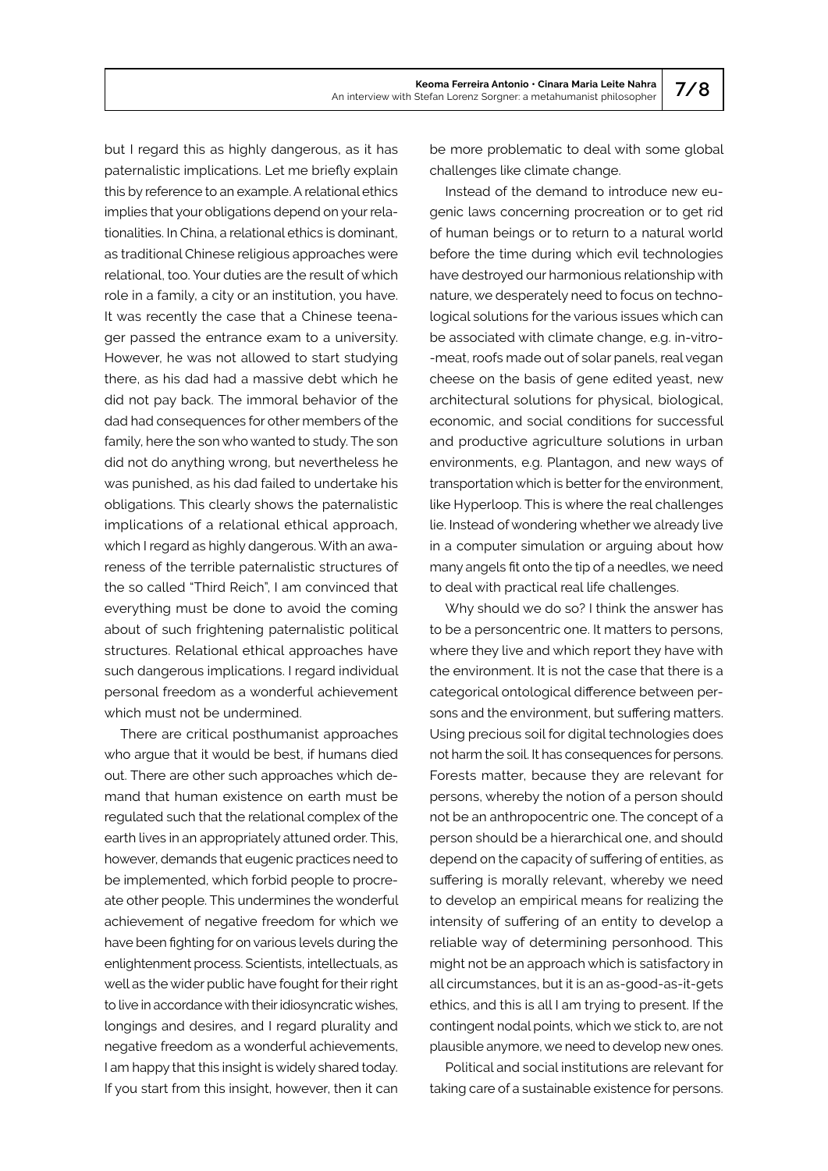but I regard this as highly dangerous, as it has paternalistic implications. Let me briefly explain this by reference to an example. A relational ethics implies that your obligations depend on your relationalities. In China, a relational ethics is dominant, as traditional Chinese religious approaches were relational, too. Your duties are the result of which role in a family, a city or an institution, you have. It was recently the case that a Chinese teenager passed the entrance exam to a university. However, he was not allowed to start studying there, as his dad had a massive debt which he did not pay back. The immoral behavior of the dad had consequences for other members of the family, here the son who wanted to study. The son did not do anything wrong, but nevertheless he was punished, as his dad failed to undertake his obligations. This clearly shows the paternalistic implications of a relational ethical approach, which I regard as highly dangerous. With an awareness of the terrible paternalistic structures of the so called "Third Reich", I am convinced that everything must be done to avoid the coming about of such frightening paternalistic political structures. Relational ethical approaches have such dangerous implications. I regard individual personal freedom as a wonderful achievement which must not be undermined.

There are critical posthumanist approaches who arque that it would be best, if humans died out. There are other such approaches which demand that human existence on earth must be regulated such that the relational complex of the earth lives in an appropriately attuned order. This, however, demands that eugenic practices need to be implemented, which forbid people to procreate other people. This undermines the wonderful achievement of negative freedom for which we have been fighting for on various levels during the enlightenment process. Scientists, intellectuals, as well as the wider public have fought for their right to live in accordance with their idiosyncratic wishes, longings and desires, and I regard plurality and negative freedom as a wonderful achievements, I am happy that this insight is widely shared today. If you start from this insight, however, then it can

be more problematic to deal with some global challenges like climate change.

Instead of the demand to introduce new eugenic laws concerning procreation or to get rid of human beings or to return to a natural world before the time during which evil technologies have destroyed our harmonious relationship with nature, we desperately need to focus on technological solutions for the various issues which can be associated with climate change, e.g. in-vitro- -meat, roofs made out of solar panels, real vegan cheese on the basis of gene edited yeast, new architectural solutions for physical, biological, economic, and social conditions for successful and productive agriculture solutions in urban environments, e.g. Plantagon, and new ways of transportation which is better for the environment, like Hyperloop. This is where the real challenges lie. Instead of wondering whether we already live in a computer simulation or arguing about how many angels fit onto the tip of a needles, we need to deal with practical real life challenges.

Why should we do so? I think the answer has to be a personcentric one. It matters to persons, where they live and which report they have with the environment. It is not the case that there is a categorical ontological difference between persons and the environment, but suffering matters. Using precious soil for digital technologies does not harm the soil. It has consequences for persons. Forests matter, because they are relevant for persons, whereby the notion of a person should not be an anthropocentric one. The concept of a person should be a hierarchical one, and should depend on the capacity of suffering of entities, as suffering is morally relevant, whereby we need to develop an empirical means for realizing the intensity of suffering of an entity to develop a reliable way of determining personhood. This might not be an approach which is satisfactory in all circumstances, but it is an as-good-as-it-gets ethics, and this is all I am trying to present. If the contingent nodal points, which we stick to, are not plausible anymore, we need to develop new ones.

Political and social institutions are relevant for taking care of a sustainable existence for persons.